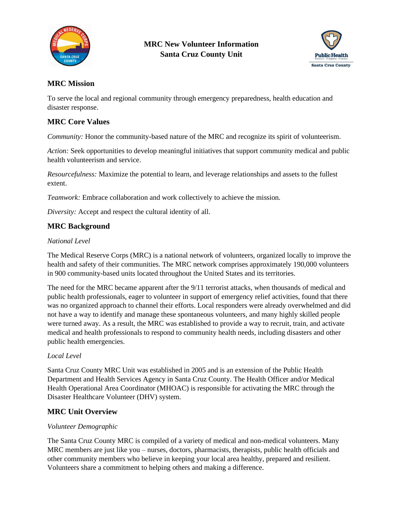



## **MRC Mission**

To serve the local and regional community through emergency preparedness, health education and disaster response.

## **MRC Core Values**

*Community:* Honor the community-based nature of the MRC and recognize its spirit of volunteerism.

*Action:* Seek opportunities to develop meaningful initiatives that support community medical and public health volunteerism and service.

*Resourcefulness:* Maximize the potential to learn, and leverage relationships and assets to the fullest extent.

*Teamwork:* Embrace collaboration and work collectively to achieve the mission.

*Diversity:* Accept and respect the cultural identity of all.

### **MRC Background**

#### *National Level*

The Medical Reserve Corps (MRC) is a national network of volunteers, organized locally to improve the health and safety of their communities. The MRC network comprises approximately 190,000 volunteers in 900 community-based units located throughout the United States and its territories.

The need for the MRC became apparent after the 9/11 terrorist attacks, when thousands of medical and public health professionals, eager to volunteer in support of emergency relief activities, found that there was no organized approach to channel their efforts. Local responders were already overwhelmed and did not have a way to identify and manage these spontaneous volunteers, and many highly skilled people were turned away. As a result, the MRC was established to provide a way to recruit, train, and activate medical and health professionals to respond to community health needs, including disasters and other public health emergencies.

### *Local Level*

Santa Cruz County MRC Unit was established in 2005 and is an extension of the Public Health Department and Health Services Agency in Santa Cruz County. The Health Officer and/or Medical Health Operational Area Coordinator (MHOAC) is responsible for activating the MRC through the Disaster Healthcare Volunteer (DHV) system.

### **MRC Unit Overview**

#### *Volunteer Demographic*

The Santa Cruz County MRC is compiled of a variety of medical and non-medical volunteers. Many MRC members are just like you – nurses, doctors, pharmacists, therapists, public health officials and other community members who believe in keeping your local area healthy, prepared and resilient. Volunteers share a commitment to helping others and making a difference.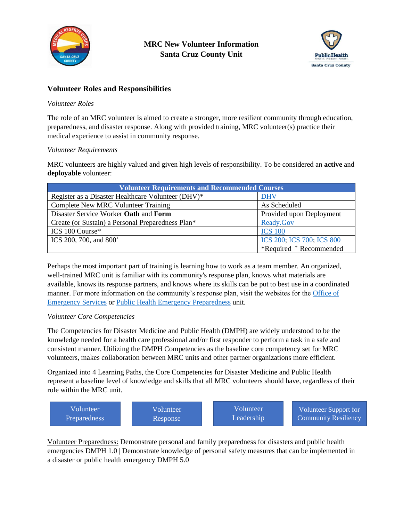



## **Volunteer Roles and Responsibilities**

### *Volunteer Roles*

The role of an MRC volunteer is aimed to create a stronger, more resilient community through education, preparedness, and disaster response. Along with provided training, MRC volunteer(s) practice their medical experience to assist in community response.

### *Volunteer Requirements*

MRC volunteers are highly valued and given high levels of responsibility. To be considered an **active** and **deployable** volunteer:

| <b>Volunteer Requirements and Recommended Courses</b> |                           |  |
|-------------------------------------------------------|---------------------------|--|
| Register as a Disaster Healthcare Volunteer (DHV)*    | <b>DHV</b>                |  |
| <b>Complete New MRC Volunteer Training</b>            | As Scheduled              |  |
| Disaster Service Worker Oath and Form                 | Provided upon Deployment  |  |
| Create (or Sustain) a Personal Preparedness Plan*     | Ready.Gov                 |  |
| ICS 100 Course*                                       | <b>ICS 100</b>            |  |
| ICS 200, 700, and $800^+$                             | ICS 200; ICS 700; ICS 800 |  |
|                                                       | *Required + Recommended   |  |

Perhaps the most important part of training is learning how to work as a team member. An organized, well-trained MRC unit is familiar with its community's response plan, knows what materials are available, knows its response partners, and knows where its skills can be put to best use in a coordinated manner. For more information on the community's response plan, visit the websites for the [Office of](http://www.co.santa-cruz.ca.us/default.aspx?tabid=3251)  [Emergency Services](http://www.co.santa-cruz.ca.us/default.aspx?tabid=3251) or Public Health [Emergency Preparedness](http://santacruzhealth.org/HSAHome/HSADivisions/PublicHealth/PublicHealthReadinessandEmergencyPlanningTeam(PREPT).aspx) unit.

### *Volunteer Core Competencies*

The Competencies for Disaster Medicine and Public Health (DMPH) are widely understood to be the knowledge needed for a health care professional and/or first responder to perform a task in a safe and consistent manner. Utilizing the DMPH Competencies as the baseline core competency set for MRC volunteers, makes collaboration between MRC units and other partner organizations more efficient.

Organized into 4 Learning Paths, the Core Competencies for Disaster Medicine and Public Health represent a baseline level of knowledge and skills that all MRC volunteers should have, regardless of their role within the MRC unit.

| Volunteer           | Volunteer | <b>Volunteer</b> | Volunteer Support for |
|---------------------|-----------|------------------|-----------------------|
| <b>Preparedness</b> | Response  | Leadership       | Community Resiliency  |

Volunteer Preparedness: Demonstrate personal and family preparedness for disasters and public health emergencies DMPH 1.0 | Demonstrate knowledge of personal safety measures that can be implemented in a disaster or public health emergency DMPH 5.0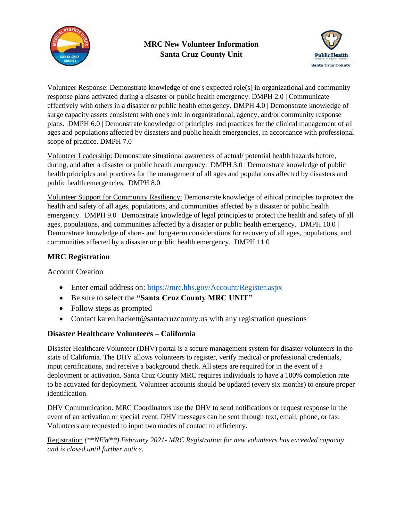



Volunteer Response: Demonstrate knowledge of one's expected role(s) in organizational and community response plans activated during a disaster or public health emergency. DMPH 2.0 | Communicate effectively with others in a disaster or public health emergency. DMPH 4.0 | Demonstrate knowledge of surge capacity assets consistent with one's role in organizational, agency, and/or community response plans. DMPH 6.0 | Demonstrate knowledge of principles and practices for the clinical management of all ages and populations affected by disasters and public health emergencies, in accordance with professional scope of practice. DMPH 7.0

Volunteer Leadership: Demonstrate situational awareness of actual/ potential health hazards before, during, and after a disaster or public health emergency. DMPH 3.0 | Demonstrate knowledge of public health principles and practices for the management of all ages and populations affected by disasters and public health emergencies. DMPH 8.0

Volunteer Support for Community Resiliency: Demonstrate knowledge of ethical principles to protect the health and safety of all ages, populations, and communities affected by a disaster or public health emergency. DMPH 9.0 | Demonstrate knowledge of legal principles to protect the health and safety of all ages, populations, and communities affected by a disaster or public health emergency. DMPH 10.0 | Demonstrate knowledge of short- and long-term considerations for recovery of all ages, populations, and communities affected by a disaster or public health emergency. DMPH 11.0

## **MRC Registration**

Account Creation

- Enter email address on:<https://mrc.hhs.gov/Account/Register.aspx>
- Be sure to select the **"Santa Cruz County MRC UNIT"**
- Follow steps as prompted
- Contact karen.hackett@santacruzcounty.us with any registration questions

# **Disaster Healthcare Volunteers – California**

Disaster Healthcare Volunteer (DHV) portal is a secure management system for disaster volunteers in the state of California. The DHV allows volunteers to register, verify medical or professional credentials, input certifications, and receive a background check. All steps are required for in the event of a deployment or activation. Santa Cruz County MRC requires individuals to have a 100% completion rate to be activated for deployment. Volunteer accounts should be updated (every six months) to ensure proper identification.

DHV Communication*:* MRC Coordinators use the DHV to send notifications or request response in the event of an activation or special event. DHV messages can be sent through text, email, phone, or fax. Volunteers are requested to input two modes of contact to efficiency.

Registration *(\*\*NEW\*\*) February 2021- MRC Registration for new volunteers has exceeded capacity and is closed until further notice.*